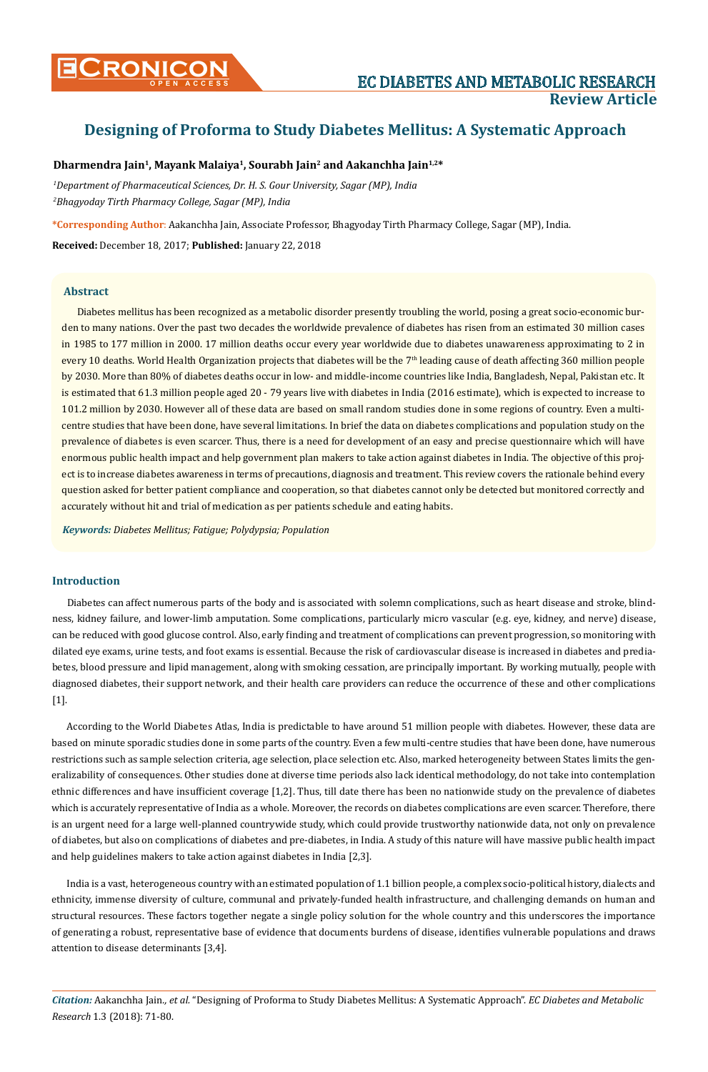# **Designing of Proforma to Study Diabetes Mellitus: A Systematic Approach**

### **Dharmendra Jain1, Mayank Malaiya1, Sourabh Jain2 and Aakanchha Jain1,2\***

*1 Department of Pharmaceutical Sciences, Dr. H. S. Gour University, Sagar (MP), India 2 Bhagyoday Tirth Pharmacy College, Sagar (MP), India*

**\*Corresponding Author**: Aakanchha Jain, Associate Professor, Bhagyoday Tirth Pharmacy College, Sagar (MP), India.

**Received:** December 18, 2017; **Published:** January 22, 2018

#### **Abstract**

Diabetes mellitus has been recognized as a metabolic disorder presently troubling the world, posing a great socio-economic burden to many nations. Over the past two decades the worldwide prevalence of diabetes has risen from an estimated 30 million cases in 1985 to 177 million in 2000. 17 million deaths occur every year worldwide due to diabetes unawareness approximating to 2 in every 10 deaths. World Health Organization projects that diabetes will be the 7<sup>th</sup> leading cause of death affecting 360 million people by 2030. More than 80% of diabetes deaths occur in low- and middle-income countries like India, Bangladesh, Nepal, Pakistan etc. It is estimated that 61.3 million people aged 20 - 79 years live with diabetes in India (2016 estimate), which is expected to increase to 101.2 million by 2030. However all of these data are based on small random studies done in some regions of country. Even a multicentre studies that have been done, have several limitations. In brief the data on diabetes complications and population study on the prevalence of diabetes is even scarcer. Thus, there is a need for development of an easy and precise questionnaire which will have enormous public health impact and help government plan makers to take action against diabetes in India. The objective of this project is to increase diabetes awareness in terms of precautions, diagnosis and treatment. This review covers the rationale behind every question asked for better patient compliance and cooperation, so that diabetes cannot only be detected but monitored correctly and accurately without hit and trial of medication as per patients schedule and eating habits.

*Keywords: Diabetes Mellitus; Fatigue; Polydypsia; Population*

### **Introduction**

Diabetes can affect numerous parts of the body and is associated with solemn complications, such as heart disease and stroke, blindness, kidney failure, and lower-limb amputation. Some complications, particularly micro vascular (e.g. eye, kidney, and nerve) disease, can be reduced with good glucose control. Also, early finding and treatment of complications can prevent progression, so monitoring with dilated eye exams, urine tests, and foot exams is essential. Because the risk of cardiovascular disease is increased in diabetes and prediabetes, blood pressure and lipid management, along with smoking cessation, are principally important. By working mutually, people with diagnosed diabetes, their support network, and their health care providers can reduce the occurrence of these and other complications [1].

According to the World Diabetes Atlas, India is predictable to have around 51 million people with diabetes. However, these data are based on minute sporadic studies done in some parts of the country. Even a few multi-centre studies that have been done, have numerous restrictions such as sample selection criteria, age selection, place selection etc. Also, marked heterogeneity between States limits the generalizability of consequences. Other studies done at diverse time periods also lack identical methodology, do not take into contemplation ethnic differences and have insufficient coverage [1,2]. Thus, till date there has been no nationwide study on the prevalence of diabetes which is accurately representative of India as a whole. Moreover, the records on diabetes complications are even scarcer. Therefore, there is an urgent need for a large well-planned countrywide study, which could provide trustworthy nationwide data, not only on prevalence of diabetes, but also on complications of diabetes and pre-diabetes, in India. A study of this nature will have massive public health impact and help guidelines makers to take action against diabetes in India [2,3].

India is a vast, heterogeneous country with an estimated population of 1.1 billion people, a complex socio-political history, dialects and ethnicity, immense diversity of culture, communal and privately-funded health infrastructure, and challenging demands on human and structural resources. These factors together negate a single policy solution for the whole country and this underscores the importance of generating a robust, representative base of evidence that documents burdens of disease, identifies vulnerable populations and draws attention to disease determinants [3,4].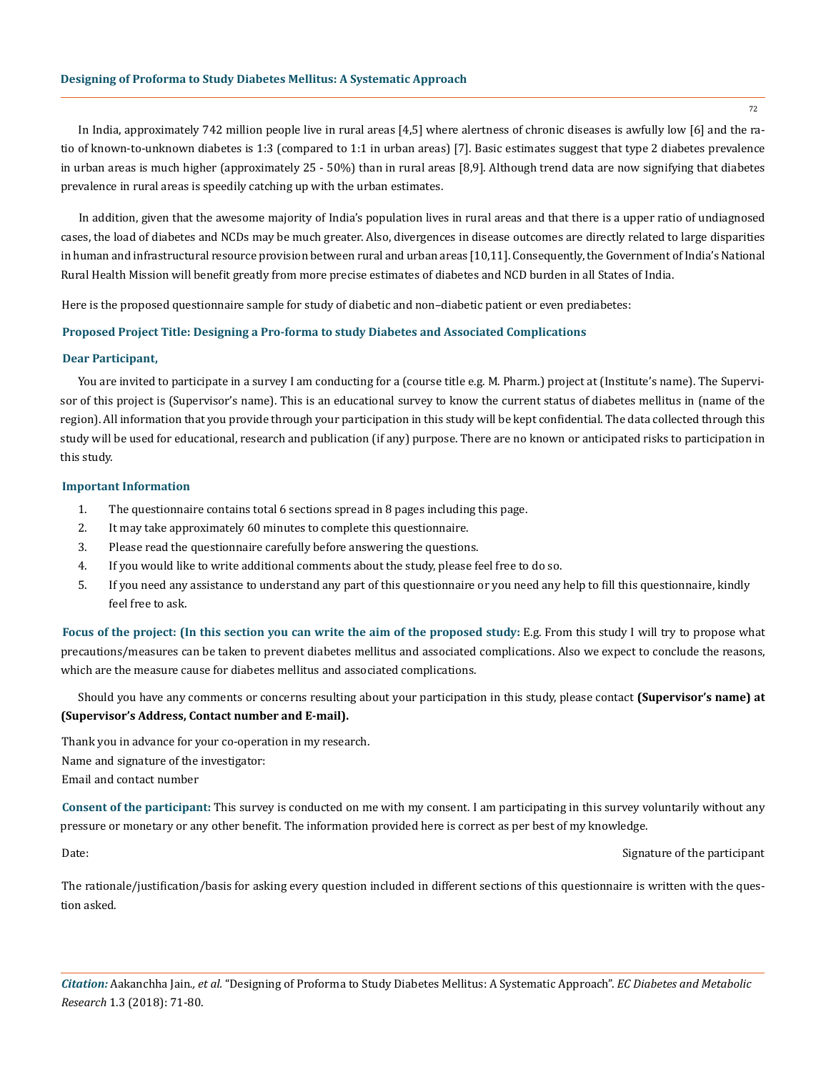In India, approximately 742 million people live in rural areas [4,5] where alertness of chronic diseases is awfully low [6] and the ratio of known-to-unknown diabetes is 1:3 (compared to 1:1 in urban areas) [7]. Basic estimates suggest that type 2 diabetes prevalence in urban areas is much higher (approximately 25 - 50%) than in rural areas [8,9]. Although trend data are now signifying that diabetes prevalence in rural areas is speedily catching up with the urban estimates.

In addition, given that the awesome majority of India's population lives in rural areas and that there is a upper ratio of undiagnosed cases, the load of diabetes and NCDs may be much greater. Also, divergences in disease outcomes are directly related to large disparities in human and infrastructural resource provision between rural and urban areas [10,11]. Consequently, the Government of India's National Rural Health Mission will benefit greatly from more precise estimates of diabetes and NCD burden in all States of India.

Here is the proposed questionnaire sample for study of diabetic and non–diabetic patient or even prediabetes:

#### **Proposed Project Title: Designing a Pro-forma to study Diabetes and Associated Complications**

#### **Dear Participant,**

You are invited to participate in a survey I am conducting for a (course title e.g. M. Pharm.) project at (Institute's name). The Supervisor of this project is (Supervisor's name). This is an educational survey to know the current status of diabetes mellitus in (name of the region). All information that you provide through your participation in this study will be kept confidential. The data collected through this study will be used for educational, research and publication (if any) purpose. There are no known or anticipated risks to participation in this study.

#### **Important Information**

- 1. The questionnaire contains total 6 sections spread in 8 pages including this page.
- 2. It may take approximately 60 minutes to complete this questionnaire.
- 3. Please read the questionnaire carefully before answering the questions.
- 4. If you would like to write additional comments about the study, please feel free to do so.
- 5. If you need any assistance to understand any part of this questionnaire or you need any help to fill this questionnaire, kindly feel free to ask.

**Focus of the project: (In this section you can write the aim of the proposed study:** E.g. From this study I will try to propose what precautions/measures can be taken to prevent diabetes mellitus and associated complications. Also we expect to conclude the reasons, which are the measure cause for diabetes mellitus and associated complications.

Should you have any comments or concerns resulting about your participation in this study, please contact **(Supervisor's name) at (Supervisor's Address, Contact number and E-mail).**

Thank you in advance for your co-operation in my research. Name and signature of the investigator: Email and contact number

**Consent of the participant:** This survey is conducted on me with my consent. I am participating in this survey voluntarily without any pressure or monetary or any other benefit. The information provided here is correct as per best of my knowledge.

Date: Signature of the participant

The rationale/justification/basis for asking every question included in different sections of this questionnaire is written with the question asked.

*Citation:* Aakanchha Jain*., et al.* "Designing of Proforma to Study Diabetes Mellitus: A Systematic Approach". *EC Diabetes and Metabolic Research* 1.3 (2018): 71-80.

72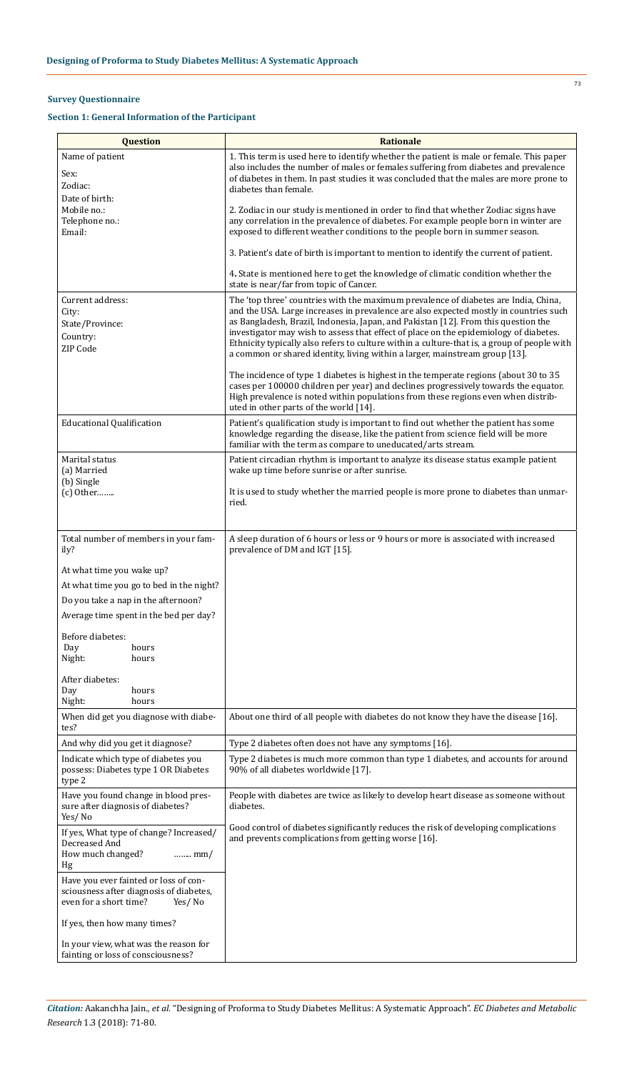## **Survey Questionnaire**

## **Section 1: General Information of the Participant**

| <b>Question</b>                                                                                                      | <b>Rationale</b>                                                                                                                                                                                                                                                                                                                                                                                                                                                                                                                          |  |  |  |
|----------------------------------------------------------------------------------------------------------------------|-------------------------------------------------------------------------------------------------------------------------------------------------------------------------------------------------------------------------------------------------------------------------------------------------------------------------------------------------------------------------------------------------------------------------------------------------------------------------------------------------------------------------------------------|--|--|--|
| Name of patient<br>Sex:<br>Zodiac:<br>Date of birth:                                                                 | 1. This term is used here to identify whether the patient is male or female. This paper<br>also includes the number of males or females suffering from diabetes and prevalence<br>of diabetes in them. In past studies it was concluded that the males are more prone to<br>diabetes than female.                                                                                                                                                                                                                                         |  |  |  |
| Mobile no.:<br>Telephone no.:<br>Email:                                                                              | 2. Zodiac in our study is mentioned in order to find that whether Zodiac signs have<br>any correlation in the prevalence of diabetes. For example people born in winter are<br>exposed to different weather conditions to the people born in summer season.                                                                                                                                                                                                                                                                               |  |  |  |
|                                                                                                                      | 3. Patient's date of birth is important to mention to identify the current of patient.                                                                                                                                                                                                                                                                                                                                                                                                                                                    |  |  |  |
|                                                                                                                      | 4. State is mentioned here to get the knowledge of climatic condition whether the<br>state is near/far from topic of Cancer.                                                                                                                                                                                                                                                                                                                                                                                                              |  |  |  |
| Current address:<br>City:<br>State/Province:<br>Country:<br>ZIP Code                                                 | The 'top three' countries with the maximum prevalence of diabetes are India, China,<br>and the USA. Large increases in prevalence are also expected mostly in countries such<br>as Bangladesh, Brazil, Indonesia, Japan, and Pakistan [12]. From this question the<br>investigator may wish to assess that effect of place on the epidemiology of diabetes.<br>Ethnicity typically also refers to culture within a culture-that is, a group of people with<br>a common or shared identity, living within a larger, mainstream group [13]. |  |  |  |
|                                                                                                                      | The incidence of type 1 diabetes is highest in the temperate regions (about 30 to 35<br>cases per 100000 children per year) and declines progressively towards the equator.<br>High prevalence is noted within populations from these regions even when distrib-<br>uted in other parts of the world [14].                                                                                                                                                                                                                                |  |  |  |
| <b>Educational Qualification</b>                                                                                     | Patient's qualification study is important to find out whether the patient has some<br>knowledge regarding the disease, like the patient from science field will be more<br>familiar with the term as compare to uneducated/arts stream.                                                                                                                                                                                                                                                                                                  |  |  |  |
| Marital status<br>(a) Married                                                                                        | Patient circadian rhythm is important to analyze its disease status example patient<br>wake up time before sunrise or after sunrise.                                                                                                                                                                                                                                                                                                                                                                                                      |  |  |  |
| (b) Single<br>$(c)$ Other                                                                                            | It is used to study whether the married people is more prone to diabetes than unmar-<br>ried.                                                                                                                                                                                                                                                                                                                                                                                                                                             |  |  |  |
| Total number of members in your fam-<br>ily?                                                                         | A sleep duration of 6 hours or less or 9 hours or more is associated with increased<br>prevalence of DM and IGT [15].                                                                                                                                                                                                                                                                                                                                                                                                                     |  |  |  |
| At what time you wake up?                                                                                            |                                                                                                                                                                                                                                                                                                                                                                                                                                                                                                                                           |  |  |  |
| At what time you go to bed in the night?                                                                             |                                                                                                                                                                                                                                                                                                                                                                                                                                                                                                                                           |  |  |  |
| Do you take a nap in the afternoon?                                                                                  |                                                                                                                                                                                                                                                                                                                                                                                                                                                                                                                                           |  |  |  |
| Average time spent in the bed per day?                                                                               |                                                                                                                                                                                                                                                                                                                                                                                                                                                                                                                                           |  |  |  |
| Before diabetes:<br>Day<br>hours<br>Night:<br>hours                                                                  |                                                                                                                                                                                                                                                                                                                                                                                                                                                                                                                                           |  |  |  |
| After diabetes:<br>Day<br>hours<br>Night:<br>hours                                                                   |                                                                                                                                                                                                                                                                                                                                                                                                                                                                                                                                           |  |  |  |
| When did get you diagnose with diabe-<br>tes?                                                                        | About one third of all people with diabetes do not know they have the disease [16].                                                                                                                                                                                                                                                                                                                                                                                                                                                       |  |  |  |
| And why did you get it diagnose?                                                                                     | Type 2 diabetes often does not have any symptoms [16].                                                                                                                                                                                                                                                                                                                                                                                                                                                                                    |  |  |  |
| Indicate which type of diabetes you<br>possess: Diabetes type 1 OR Diabetes<br>type 2                                | Type 2 diabetes is much more common than type 1 diabetes, and accounts for around<br>90% of all diabetes worldwide [17].                                                                                                                                                                                                                                                                                                                                                                                                                  |  |  |  |
| Have you found change in blood pres-<br>sure after diagnosis of diabetes?<br>Yes/No                                  | People with diabetes are twice as likely to develop heart disease as someone without<br>diabetes.                                                                                                                                                                                                                                                                                                                                                                                                                                         |  |  |  |
| If yes, What type of change? Increased/<br>Decreased And<br>How much changed?<br>$mm/$<br>Hg                         | Good control of diabetes significantly reduces the risk of developing complications<br>and prevents complications from getting worse [16].                                                                                                                                                                                                                                                                                                                                                                                                |  |  |  |
| Have you ever fainted or loss of con-<br>sciousness after diagnosis of diabetes,<br>even for a short time?<br>Yes/No |                                                                                                                                                                                                                                                                                                                                                                                                                                                                                                                                           |  |  |  |
| If yes, then how many times?                                                                                         |                                                                                                                                                                                                                                                                                                                                                                                                                                                                                                                                           |  |  |  |
| In your view, what was the reason for<br>fainting or loss of consciousness?                                          |                                                                                                                                                                                                                                                                                                                                                                                                                                                                                                                                           |  |  |  |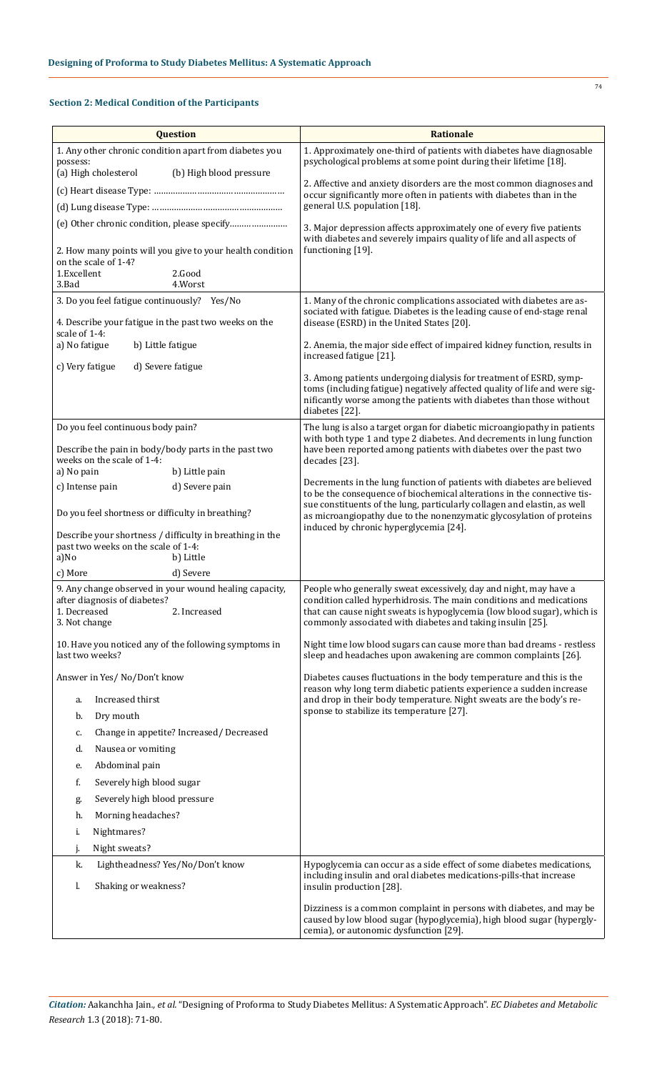## **Section 2: Medical Condition of the Participants**

|                                                                                    | <b>Question</b>                                                        | Rationale                                                                                                                                                                                                                                                                         |
|------------------------------------------------------------------------------------|------------------------------------------------------------------------|-----------------------------------------------------------------------------------------------------------------------------------------------------------------------------------------------------------------------------------------------------------------------------------|
| possess:                                                                           | 1. Any other chronic condition apart from diabetes you                 | 1. Approximately one-third of patients with diabetes have diagnosable<br>psychological problems at some point during their lifetime [18].                                                                                                                                         |
| (a) High cholesterol                                                               | (b) High blood pressure                                                |                                                                                                                                                                                                                                                                                   |
|                                                                                    |                                                                        | 2. Affective and anxiety disorders are the most common diagnoses and<br>occur significantly more often in patients with diabetes than in the                                                                                                                                      |
|                                                                                    |                                                                        | general U.S. population [18].                                                                                                                                                                                                                                                     |
|                                                                                    |                                                                        | 3. Major depression affects approximately one of every five patients<br>with diabetes and severely impairs quality of life and all aspects of                                                                                                                                     |
|                                                                                    | 2. How many points will you give to your health condition              | functioning [19].                                                                                                                                                                                                                                                                 |
| on the scale of 1-4?<br>1.Excellent<br>3.Bad                                       | 2.Good<br>4.Worst                                                      |                                                                                                                                                                                                                                                                                   |
| 3. Do you feel fatigue continuously? Yes/No                                        |                                                                        | 1. Many of the chronic complications associated with diabetes are as-                                                                                                                                                                                                             |
| 4. Describe your fatigue in the past two weeks on the<br>scale of 1-4:             |                                                                        | sociated with fatigue. Diabetes is the leading cause of end-stage renal<br>disease (ESRD) in the United States [20].                                                                                                                                                              |
| a) No fatigue<br>b) Little fatigue                                                 |                                                                        | 2. Anemia, the major side effect of impaired kidney function, results in<br>increased fatigue [21].                                                                                                                                                                               |
| c) Very fatigue                                                                    | d) Severe fatigue                                                      |                                                                                                                                                                                                                                                                                   |
|                                                                                    |                                                                        | 3. Among patients undergoing dialysis for treatment of ESRD, symp-<br>toms (including fatigue) negatively affected quality of life and were sig-<br>nificantly worse among the patients with diabetes than those without<br>diabetes [22].                                        |
| Do you feel continuous body pain?                                                  |                                                                        | The lung is also a target organ for diabetic microangiopathy in patients<br>with both type 1 and type 2 diabetes. And decrements in lung function                                                                                                                                 |
| Describe the pain in body/body parts in the past two<br>weeks on the scale of 1-4: |                                                                        | have been reported among patients with diabetes over the past two<br>decades [23].                                                                                                                                                                                                |
| a) No pain                                                                         | b) Little pain                                                         |                                                                                                                                                                                                                                                                                   |
| c) Intense pain                                                                    | d) Severe pain                                                         | Decrements in the lung function of patients with diabetes are believed<br>to be the consequence of biochemical alterations in the connective tis-                                                                                                                                 |
| Do you feel shortness or difficulty in breathing?                                  |                                                                        | sue constituents of the lung, particularly collagen and elastin, as well<br>as microangiopathy due to the nonenzymatic glycosylation of proteins<br>induced by chronic hyperglycemia [24].                                                                                        |
| past two weeks on the scale of 1-4:<br>a)No                                        | Describe your shortness / difficulty in breathing in the<br>b) Little  |                                                                                                                                                                                                                                                                                   |
| c) More                                                                            | d) Severe                                                              |                                                                                                                                                                                                                                                                                   |
| after diagnosis of diabetes?<br>1. Decreased<br>3. Not change                      | 9. Any change observed in your wound healing capacity,<br>2. Increased | People who generally sweat excessively, day and night, may have a<br>condition called hyperhidrosis. The main conditions and medications<br>that can cause night sweats is hypoglycemia (low blood sugar), which is<br>commonly associated with diabetes and taking insulin [25]. |
| last two weeks?                                                                    | 10. Have you noticed any of the following symptoms in                  | Night time low blood sugars can cause more than bad dreams - restless<br>sleep and headaches upon awakening are common complaints [26].                                                                                                                                           |
| Answer in Yes/No/Don't know                                                        |                                                                        | Diabetes causes fluctuations in the body temperature and this is the                                                                                                                                                                                                              |
| Increased thirst<br>a.                                                             |                                                                        | reason why long term diabetic patients experience a sudden increase<br>and drop in their body temperature. Night sweats are the body's re-                                                                                                                                        |
| Dry mouth<br>b.                                                                    |                                                                        | sponse to stabilize its temperature [27].                                                                                                                                                                                                                                         |
| c.                                                                                 | Change in appetite? Increased/ Decreased                               |                                                                                                                                                                                                                                                                                   |
| d.<br>Nausea or vomiting                                                           |                                                                        |                                                                                                                                                                                                                                                                                   |
| Abdominal pain<br>e.                                                               |                                                                        |                                                                                                                                                                                                                                                                                   |
| f.<br>Severely high blood sugar                                                    |                                                                        |                                                                                                                                                                                                                                                                                   |
| Severely high blood pressure<br>g.                                                 |                                                                        |                                                                                                                                                                                                                                                                                   |
| Morning headaches?<br>h.                                                           |                                                                        |                                                                                                                                                                                                                                                                                   |
| Nightmares?<br>i.                                                                  |                                                                        |                                                                                                                                                                                                                                                                                   |
| Night sweats?<br>j.                                                                |                                                                        |                                                                                                                                                                                                                                                                                   |
| k.                                                                                 | Lightheadness? Yes/No/Don't know                                       | Hypoglycemia can occur as a side effect of some diabetes medications,                                                                                                                                                                                                             |
| Shaking or weakness?<br>1.                                                         |                                                                        | including insulin and oral diabetes medications-pills-that increase<br>insulin production [28].                                                                                                                                                                                   |
|                                                                                    |                                                                        | Dizziness is a common complaint in persons with diabetes, and may be<br>caused by low blood sugar (hypoglycemia), high blood sugar (hypergly-<br>cemia), or autonomic dysfunction [29].                                                                                           |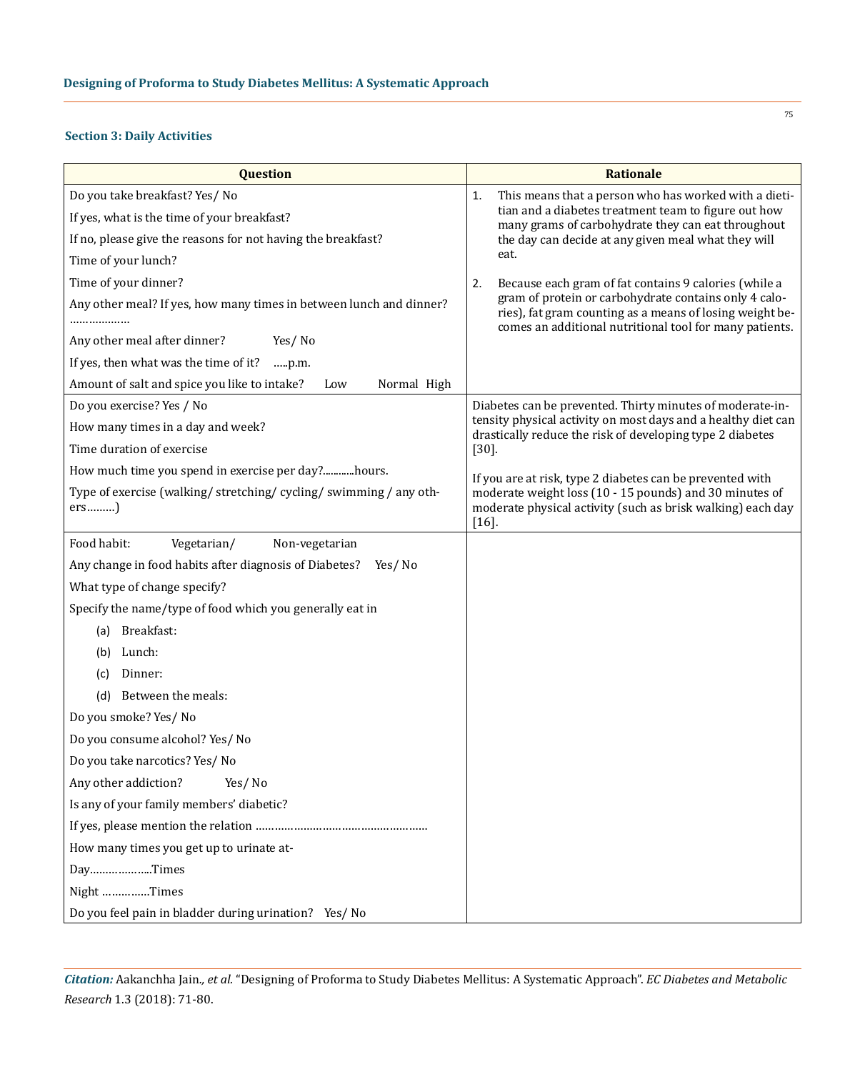#### **Section 3: Daily Activities**

| <b>Question</b>                                                             | <b>Rationale</b>                                                                                                                                                             |  |  |  |
|-----------------------------------------------------------------------------|------------------------------------------------------------------------------------------------------------------------------------------------------------------------------|--|--|--|
| Do you take breakfast? Yes/ No                                              | This means that a person who has worked with a dieti-<br>1.                                                                                                                  |  |  |  |
| If yes, what is the time of your breakfast?                                 | tian and a diabetes treatment team to figure out how<br>many grams of carbohydrate they can eat throughout                                                                   |  |  |  |
| If no, please give the reasons for not having the breakfast?                | the day can decide at any given meal what they will                                                                                                                          |  |  |  |
| Time of your lunch?                                                         | eat.                                                                                                                                                                         |  |  |  |
| Time of your dinner?                                                        | Because each gram of fat contains 9 calories (while a<br>2.                                                                                                                  |  |  |  |
| Any other meal? If yes, how many times in between lunch and dinner?         | gram of protein or carbohydrate contains only 4 calo-<br>ries), fat gram counting as a means of losing weight be-<br>comes an additional nutritional tool for many patients. |  |  |  |
| Any other meal after dinner?<br>Yes/No                                      |                                                                                                                                                                              |  |  |  |
| If yes, then what was the time of it?<br>p.m.                               |                                                                                                                                                                              |  |  |  |
| Amount of salt and spice you like to intake?<br>Normal High<br>Low          |                                                                                                                                                                              |  |  |  |
| Do you exercise? Yes / No                                                   | Diabetes can be prevented. Thirty minutes of moderate-in-                                                                                                                    |  |  |  |
| How many times in a day and week?                                           | tensity physical activity on most days and a healthy diet can<br>drastically reduce the risk of developing type 2 diabetes                                                   |  |  |  |
| Time duration of exercise                                                   | $[30]$ .                                                                                                                                                                     |  |  |  |
| How much time you spend in exercise per day?hours.                          | If you are at risk, type 2 diabetes can be prevented with                                                                                                                    |  |  |  |
| Type of exercise (walking/ stretching/ cycling/ swimming / any oth-<br>ers) | moderate weight loss (10 - 15 pounds) and 30 minutes of<br>moderate physical activity (such as brisk walking) each day<br>$[16]$                                             |  |  |  |
| Food habit:<br>Vegetarian/<br>Non-vegetarian                                |                                                                                                                                                                              |  |  |  |
| Any change in food habits after diagnosis of Diabetes?<br>Yes/No            |                                                                                                                                                                              |  |  |  |
| What type of change specify?                                                |                                                                                                                                                                              |  |  |  |
| Specify the name/type of food which you generally eat in                    |                                                                                                                                                                              |  |  |  |
| Breakfast:<br>(a)                                                           |                                                                                                                                                                              |  |  |  |
| Lunch:<br>(b)                                                               |                                                                                                                                                                              |  |  |  |
| Dinner:<br>(c)                                                              |                                                                                                                                                                              |  |  |  |
| (d) Between the meals:                                                      |                                                                                                                                                                              |  |  |  |
| Do you smoke? Yes/ No                                                       |                                                                                                                                                                              |  |  |  |
| Do you consume alcohol? Yes/ No                                             |                                                                                                                                                                              |  |  |  |
| Do you take narcotics? Yes/ No                                              |                                                                                                                                                                              |  |  |  |
| Any other addiction?<br>Yes/No                                              |                                                                                                                                                                              |  |  |  |
| Is any of your family members' diabetic?                                    |                                                                                                                                                                              |  |  |  |
|                                                                             |                                                                                                                                                                              |  |  |  |
| How many times you get up to urinate at-                                    |                                                                                                                                                                              |  |  |  |
| DayTimes                                                                    |                                                                                                                                                                              |  |  |  |
| Night Times                                                                 |                                                                                                                                                                              |  |  |  |
| Do you feel pain in bladder during urination? Yes/ No                       |                                                                                                                                                                              |  |  |  |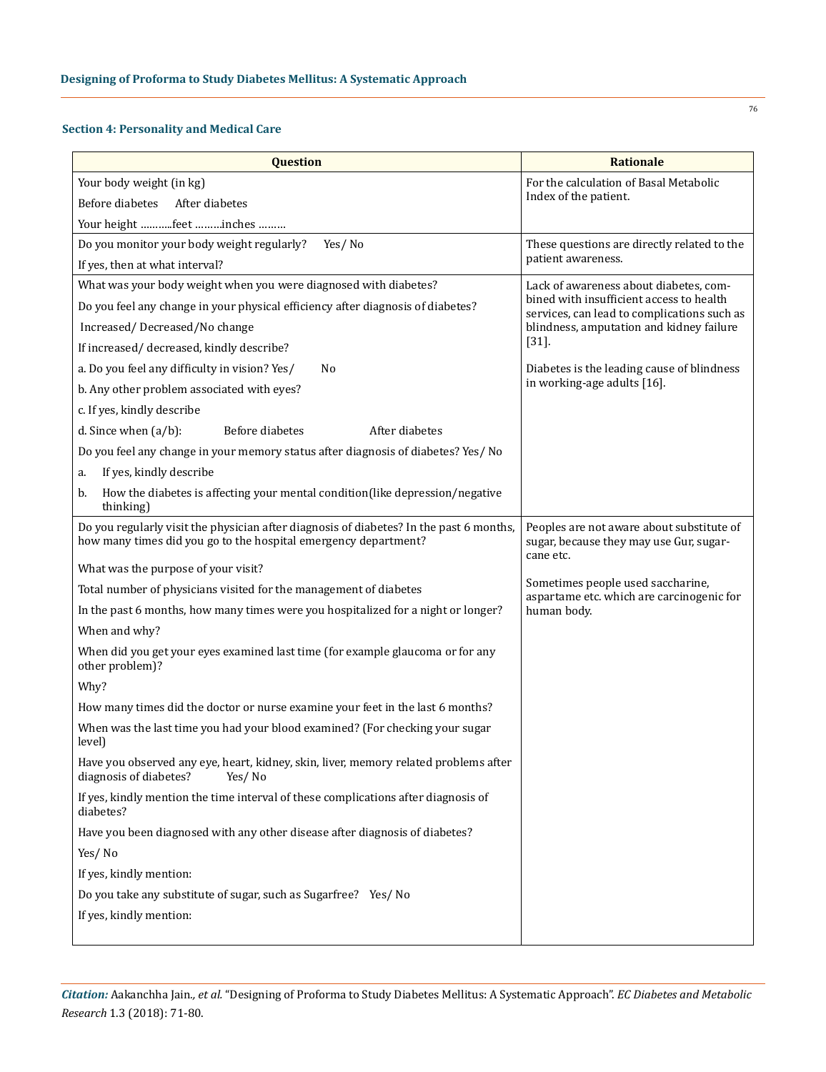## **Section 4: Personality and Medical Care**

| Question                                                                                                                                                   | <b>Rationale</b>                                                                                  |  |  |
|------------------------------------------------------------------------------------------------------------------------------------------------------------|---------------------------------------------------------------------------------------------------|--|--|
| Your body weight (in kg)                                                                                                                                   | For the calculation of Basal Metabolic                                                            |  |  |
| Before diabetes<br>After diabetes                                                                                                                          | Index of the patient.                                                                             |  |  |
| Your height feet inches                                                                                                                                    |                                                                                                   |  |  |
| Yes/No<br>Do you monitor your body weight regularly?                                                                                                       | These questions are directly related to the                                                       |  |  |
| If yes, then at what interval?                                                                                                                             | patient awareness.                                                                                |  |  |
| What was your body weight when you were diagnosed with diabetes?                                                                                           | Lack of awareness about diabetes, com-                                                            |  |  |
| Do you feel any change in your physical efficiency after diagnosis of diabetes?                                                                            | bined with insufficient access to health<br>services, can lead to complications such as           |  |  |
| Increased/Decreased/No change                                                                                                                              | blindness, amputation and kidney failure                                                          |  |  |
| If increased/ decreased, kindly describe?                                                                                                                  | $[31]$                                                                                            |  |  |
| a. Do you feel any difficulty in vision? Yes/<br>No                                                                                                        | Diabetes is the leading cause of blindness                                                        |  |  |
| b. Any other problem associated with eyes?                                                                                                                 | in working-age adults [16].                                                                       |  |  |
| c. If yes, kindly describe                                                                                                                                 |                                                                                                   |  |  |
| Before diabetes<br>After diabetes<br>d. Since when $(a/b)$ :                                                                                               |                                                                                                   |  |  |
| Do you feel any change in your memory status after diagnosis of diabetes? Yes/ No                                                                          |                                                                                                   |  |  |
| If yes, kindly describe<br>a.                                                                                                                              |                                                                                                   |  |  |
| How the diabetes is affecting your mental condition(like depression/negative<br>b.<br>thinking)                                                            |                                                                                                   |  |  |
| Do you regularly visit the physician after diagnosis of diabetes? In the past 6 months,<br>how many times did you go to the hospital emergency department? | Peoples are not aware about substitute of<br>sugar, because they may use Gur, sugar-<br>cane etc. |  |  |
| What was the purpose of your visit?                                                                                                                        |                                                                                                   |  |  |
| Total number of physicians visited for the management of diabetes                                                                                          | Sometimes people used saccharine,<br>aspartame etc. which are carcinogenic for                    |  |  |
| In the past 6 months, how many times were you hospitalized for a night or longer?                                                                          | human body.                                                                                       |  |  |
| When and why?                                                                                                                                              |                                                                                                   |  |  |
| When did you get your eyes examined last time (for example glaucoma or for any<br>other problem)?                                                          |                                                                                                   |  |  |
| Why?                                                                                                                                                       |                                                                                                   |  |  |
| How many times did the doctor or nurse examine your feet in the last 6 months?                                                                             |                                                                                                   |  |  |
| When was the last time you had your blood examined? (For checking your sugar<br>level)                                                                     |                                                                                                   |  |  |
| Have you observed any eye, heart, kidney, skin, liver, memory related problems after<br>diagnosis of diabetes?<br>Yes/No                                   |                                                                                                   |  |  |
| If yes, kindly mention the time interval of these complications after diagnosis of<br>diabetes?                                                            |                                                                                                   |  |  |
| Have you been diagnosed with any other disease after diagnosis of diabetes?                                                                                |                                                                                                   |  |  |
| Yes/No                                                                                                                                                     |                                                                                                   |  |  |
| If yes, kindly mention:                                                                                                                                    |                                                                                                   |  |  |
| Do you take any substitute of sugar, such as Sugarfree? Yes/ No                                                                                            |                                                                                                   |  |  |
| If yes, kindly mention:                                                                                                                                    |                                                                                                   |  |  |
|                                                                                                                                                            |                                                                                                   |  |  |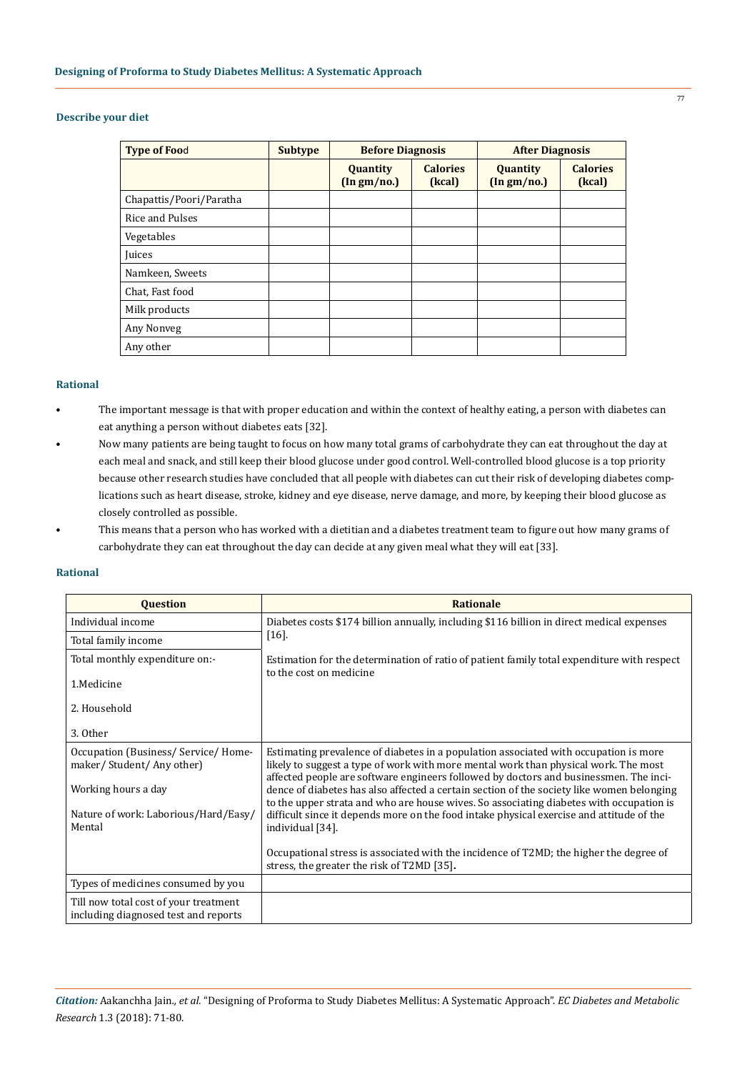## **Describe your diet**

| <b>Type of Food</b>     | <b>Subtype</b> | <b>Before Diagnosis</b>                  |                           | <b>After Diagnosis</b>                   |                           |
|-------------------------|----------------|------------------------------------------|---------------------------|------------------------------------------|---------------------------|
|                         |                | Quantity<br>$(\ln \text{gm}/\text{no.})$ | <b>Calories</b><br>(kcal) | Quantity<br>$(\ln \text{gm}/\text{no.})$ | <b>Calories</b><br>(kcal) |
| Chapattis/Poori/Paratha |                |                                          |                           |                                          |                           |
| Rice and Pulses         |                |                                          |                           |                                          |                           |
| Vegetables              |                |                                          |                           |                                          |                           |
| Juices                  |                |                                          |                           |                                          |                           |
| Namkeen, Sweets         |                |                                          |                           |                                          |                           |
| Chat, Fast food         |                |                                          |                           |                                          |                           |
| Milk products           |                |                                          |                           |                                          |                           |
| Any Nonveg              |                |                                          |                           |                                          |                           |
| Any other               |                |                                          |                           |                                          |                           |

#### **Rational**

- The important message is that with proper education and within the context of healthy eating, a person with diabetes can eat anything a person without diabetes eats [32].
- Now many patients are being taught to focus on how many total grams of carbohydrate they can eat throughout the day at each meal and snack, and still keep their blood glucose under good control. Well-controlled blood glucose is a top priority because other research studies have concluded that all people with diabetes can cut their risk of developing diabetes complications such as heart disease, stroke, kidney and eye disease, nerve damage, and more, by keeping their blood glucose as closely controlled as possible.
- This means that a person who has worked with a dietitian and a diabetes treatment team to figure out how many grams of carbohydrate they can eat throughout the day can decide at any given meal what they will eat [33].

#### **Rational**

| <b>Question</b>                                                               | <b>Rationale</b>                                                                                                                                                                     |
|-------------------------------------------------------------------------------|--------------------------------------------------------------------------------------------------------------------------------------------------------------------------------------|
| Individual income                                                             | Diabetes costs \$174 billion annually, including \$116 billion in direct medical expenses                                                                                            |
| Total family income                                                           | [16]                                                                                                                                                                                 |
| Total monthly expenditure on:-                                                | Estimation for the determination of ratio of patient family total expenditure with respect                                                                                           |
| 1.Medicine                                                                    | to the cost on medicine                                                                                                                                                              |
| 2. Household                                                                  |                                                                                                                                                                                      |
| 3. Other                                                                      |                                                                                                                                                                                      |
| Occupation (Business/Service/Home-                                            | Estimating prevalence of diabetes in a population associated with occupation is more                                                                                                 |
| maker/Student/Any other)                                                      | likely to suggest a type of work with more mental work than physical work. The most<br>affected people are software engineers followed by doctors and businessmen. The inci-         |
| Working hours a day                                                           | dence of diabetes has also affected a certain section of the society like women belonging<br>to the upper strata and who are house wives. So associating diabetes with occupation is |
| Nature of work: Laborious/Hard/Easy/                                          | difficult since it depends more on the food intake physical exercise and attitude of the                                                                                             |
| Mental                                                                        | individual [34].                                                                                                                                                                     |
|                                                                               | Occupational stress is associated with the incidence of T2MD; the higher the degree of<br>stress, the greater the risk of T2MD [35].                                                 |
| Types of medicines consumed by you                                            |                                                                                                                                                                                      |
| Till now total cost of your treatment<br>including diagnosed test and reports |                                                                                                                                                                                      |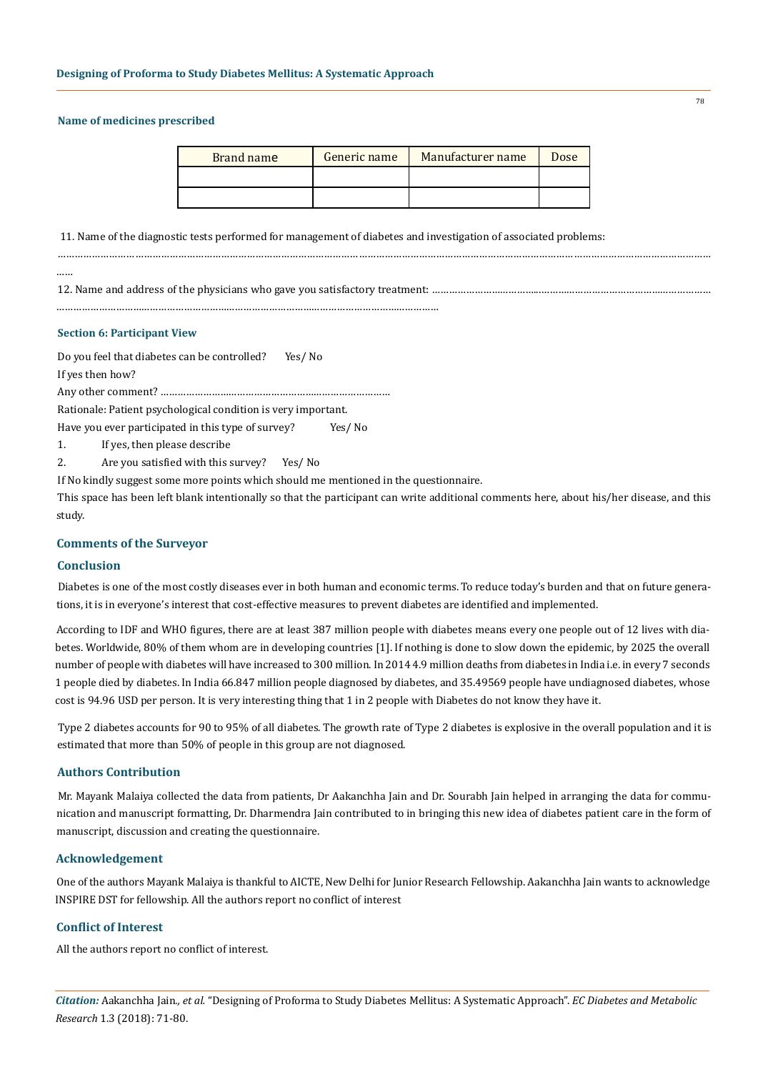#### **Name of medicines prescribed**

| Brand name | Generic name | Manufacturer name | Dose |
|------------|--------------|-------------------|------|
|            |              |                   |      |
|            |              |                   |      |

…………………………………………………………………………………………………………………………………………………………………………………………………………

11. Name of the diagnostic tests performed for management of diabetes and investigation of associated problems:

……

12. Name and address of the physicians who gave you satisfactory treatment: ………………………………...……………………………………………………

………………………………………………………………………………………………………………………

#### **Section 6: Participant View**

Do you feel that diabetes can be controlled? Yes/ No

If yes then how?

Any other comment? ………………………………………………………………………

Rationale: Patient psychological condition is very important.

Have you ever participated in this type of survey? Yes/ No

1. If yes, then please describe

2. Are you satisfied with this survey? Yes/ No

If No kindly suggest some more points which should me mentioned in the questionnaire.

This space has been left blank intentionally so that the participant can write additional comments here, about his/her disease, and this study.

## **Comments of the Surveyor**

#### **Conclusion**

Diabetes is one of the most costly diseases ever in both human and economic terms. To reduce today's burden and that on future generations, it is in everyone's interest that cost-effective measures to prevent diabetes are identified and implemented.

According to IDF and WHO figures, there are at least 387 million people with diabetes means every one people out of 12 lives with diabetes. Worldwide, 80% of them whom are in developing countries [1]. If nothing is done to slow down the epidemic, by 2025 the overall number of people with diabetes will have increased to 300 million. In 2014 4.9 million deaths from diabetes in India i.e. in every 7 seconds 1 people died by diabetes. In India 66.847 million people diagnosed by diabetes, and 35.49569 people have undiagnosed diabetes, whose cost is 94.96 USD per person. It is very interesting thing that 1 in 2 people with Diabetes do not know they have it.

Type 2 diabetes accounts for 90 to 95% of all diabetes. The growth rate of Type 2 diabetes is explosive in the overall population and it is estimated that more than 50% of people in this group are not diagnosed.

### **Authors Contribution**

Mr. Mayank Malaiya collected the data from patients, Dr Aakanchha Jain and Dr. Sourabh Jain helped in arranging the data for communication and manuscript formatting, Dr. Dharmendra Jain contributed to in bringing this new idea of diabetes patient care in the form of manuscript, discussion and creating the questionnaire.

## **Acknowledgement**

One of the authors Mayank Malaiya is thankful to AICTE, New Delhi for Junior Research Fellowship. Aakanchha Jain wants to acknowledge INSPIRE DST for fellowship. All the authors report no conflict of interest

## **Conflict of Interest**

All the authors report no conflict of interest.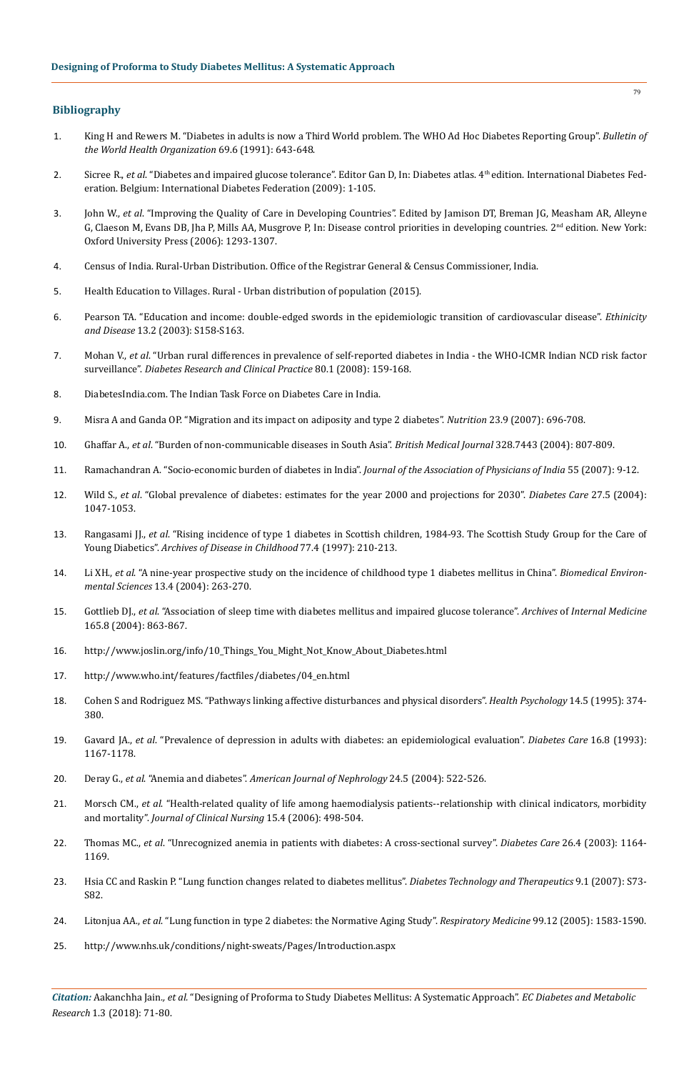### **Bibliography**

- 1. [King H and Rewers M. "Diabetes in adults is now a Third World problem. The WHO Ad Hoc Diabetes Reporting Group".](https://www.ncbi.nlm.nih.gov/pmc/articles/PMC2393324/) *Bulletin of [the World Health Organization](https://www.ncbi.nlm.nih.gov/pmc/articles/PMC2393324/)* 69.6 (1991): 643-648.
- 2. Sicree R., *et al*. "Diabetes and impaired glucose tolerance". Editor Gan D, In: Diabetes atlas. 4th edition. International Diabetes Federation. Belgium: International Diabetes Federation (2009): 1-105.
- 3. John W., *et al*. "Improving the Quality of Care in Developing Countries". Edited by Jamison DT, Breman JG, Measham AR, Alleyne G, Claeson M, Evans DB, Jha P, Mills AA, Musgrove P, In: Disease control priorities in developing countries. 2nd edition. New York: Oxford University Press (2006): 1293-1307.
- 4. [Census of India. Rural-Urban Distribution. Office of the Registrar General & Census Commissioner, India.](http://censusindia.gov.in/Census_Data_2001/India_at_glance/rural.aspx)
- 5. Health Education to Villages. Rural Urban distribution of population (2015).
- 6. [Pearson TA. "Education and income: double-edged swords in the epidemiologic transition of cardiovascular disease".](https://www.ncbi.nlm.nih.gov/pubmed/13677431) *Ethinicity and Disease* [13.2 \(2003\): S158-S163.](https://www.ncbi.nlm.nih.gov/pubmed/13677431)
- 7. Mohan V., *et al*[. "Urban rural differences in prevalence of self-reported diabetes in India the WHO-ICMR Indian NCD risk factor](https://www.ncbi.nlm.nih.gov/pubmed/18237817)  surveillance". *[Diabetes Research and Clinical Practice](https://www.ncbi.nlm.nih.gov/pubmed/18237817)* 80.1 (2008): 159-168.
- 8. [DiabetesIndia.com. The Indian Task Force on Diabetes Care in India.](http://www.diabetesindia.com/diabetes/itfdci.htm)
- 9. [Misra A and Ganda OP. "Migration and its impact on adiposity and type 2 diabetes".](https://www.ncbi.nlm.nih.gov/pubmed/17679049) *Nutrition* 23.9 (2007): 696-708.
- 10. Ghaffar A., *et al*[. "Burden of non-communicable diseases in South Asia".](https://www.ncbi.nlm.nih.gov/pubmed/15070638) *British Medical Journal* 328.7443 (2004): 807-809.
- 11. [Ramachandran A. "Socio-economic burden of diabetes in India".](https://www.ncbi.nlm.nih.gov/pubmed/17927005) *Journal of the Association of Physicians of India* 55 (2007): 9-12.
- 12. Wild S., *et al*[. "Global prevalence of diabetes: estimates for the year 2000 and projections for 2030".](https://www.ncbi.nlm.nih.gov/pubmed/15111519) *Diabetes Care* 27.5 (2004): [1047-1053.](https://www.ncbi.nlm.nih.gov/pubmed/15111519)
- 13. Rangasami JJ., *et al*[. "Rising incidence of type 1 diabetes in Scottish children, 1984-93. The Scottish Study Group for the Care of](https://www.ncbi.nlm.nih.gov/pubmed/9370897)  Young Diabetics". *[Archives of Disease in Childhood](https://www.ncbi.nlm.nih.gov/pubmed/9370897)* 77.4 (1997): 210-213.
- 14. Li XH., *et al*[. "A nine-year prospective study on the incidence of childhood type 1 diabetes mellitus in China".](https://www.ncbi.nlm.nih.gov/pubmed/11351859) *Biomedical Environmental Sciences* [13.4 \(2004\): 263-270.](https://www.ncbi.nlm.nih.gov/pubmed/11351859)
- 15. Gottlieb DJ., *et al*[. "Association of sleep time with diabetes mellitus and impaired glucose tolerance".](https://www.ncbi.nlm.nih.gov/pubmed/15851636) *Archives* of *Internal Medicine*  [165.8 \(2004\): 863-867.](https://www.ncbi.nlm.nih.gov/pubmed/15851636)
- 16. [http://www.joslin.org/info/10\\_Things\\_You\\_Might\\_Not\\_Know\\_About\\_Diabetes.html](http://www.joslin.org/info/10_Things_You_Might_Not_Know_About_Diabetes.html)
- 17. [http://www.who.int/features/factfiles/diabetes/04\\_en.html](http://www.who.int/features/factfiles/diabetes/04_en.html)
- 18. [Cohen S and Rodriguez MS. "Pathways linking affective disturbances and physical disorders".](https://www.ncbi.nlm.nih.gov/pubmed/7498107) *Health Psychology* 14.5 (1995): 374- [380.](https://www.ncbi.nlm.nih.gov/pubmed/7498107)
- 19. Gavard JA., *et al*[. "Prevalence of depression in adults with diabetes: an epidemiological evaluation".](https://www.ncbi.nlm.nih.gov/pubmed/8375247) *Diabetes Care* 16.8 (1993): [1167-1178.](https://www.ncbi.nlm.nih.gov/pubmed/8375247)
- 20. Deray G., *et al*. "Anemia and diabetes". *[American Journal of Nephrology](https://www.karger.com/Article/Fulltext/81058)* 24.5 (2004): 522-526.
- 21. Morsch CM., *et al*[. "Health-related quality of life among haemodialysis patients--relationship with clinical indicators, morbidity](https://www.ncbi.nlm.nih.gov/pubmed/16553764)  and mortality". *[Journal of Clinical Nursing](https://www.ncbi.nlm.nih.gov/pubmed/16553764)* 15.4 (2006): 498-504.
- 22. Thomas MC., *et al*[. "Unrecognized anemia in patients with diabetes: A cross-sectional survey".](https://www.ncbi.nlm.nih.gov/pubmed/12663591) *Diabetes Care* 26.4 (2003): 1164- [1169.](https://www.ncbi.nlm.nih.gov/pubmed/12663591)
- 23. [Hsia CC and Raskin P. "Lung function changes related to diabetes mellitus".](https://www.ncbi.nlm.nih.gov/pubmed/17563307) *Diabetes Technology and Therapeutics* 9.1 (2007): S73- [S82.](https://www.ncbi.nlm.nih.gov/pubmed/17563307)
- 24. Litonjua AA., *et al*[. "Lung function in type 2 diabetes: the Normative Aging Study".](https://www.ncbi.nlm.nih.gov/pubmed/16291079) *Respiratory Medicine* 99.12 (2005): 1583-1590.
- 25. <http://www.nhs.uk/conditions/night-sweats/Pages/Introduction.aspx>